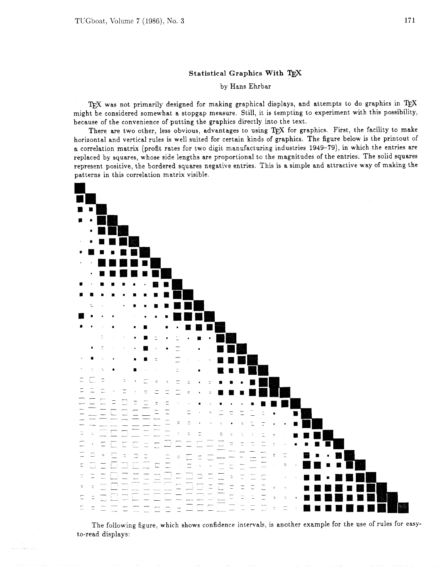## **Statistical** Graphics **With** TE;X:

by Hans Ehrbar

TEX was not primarily designed for making graphical displays, and attempts to do graphics in TEX might be considered somewhat a stopgap measure. Still, it is tempting to experiment with this possibility, because of the convenience of putting the graphics directly into the text.

There are two other, less obvious, advantages to using TEX for graphics. First, the facility to make horizontal and vertical rules is well suited for certain kinds of graphics. The figure below is the printout of a correlation matrix (profit rates for two digit manufacturing industries 1949-79), in which the entries are replaced by squares, whose side lengths are proportional to the magnitudes of the entries. The solid squares represent positive, the bordered squares negative entries. This is a simple and attractive way of making the patterns in this correlation matrix visible.



The following figure, which shows confidence intervals, is another example for the use of rules for easyto-read displays: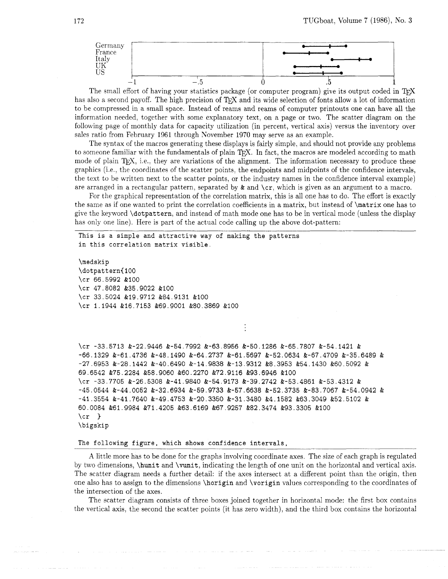

The small effort of having your statistics package (or computer program) give its output coded in T<sub>F</sub>X has also a second payoff. The high precision of T<sub>E</sub>X and its wide selection of fonts allow a lot of information to be compressed in a small space. Instead of reams and reams of computer printouts one can have all the information needed, together with some explanatory text, on a page or two. The scatter diagram on the following page of monthly data for capacity utilization (in percent, vertical axis) versus the inventory over sales ratio from February 1961 through November 1970 may serve as an example.

The syntax of the macros generating these displays is fairly simple, and should not provide any problems to someone familiar with the fundamentals of plain T<sub>F</sub>X. In fact, the macros are modeled according to math mode of plain T<sub>F</sub>X, i.e., they are variations of the alignment. The information necessary to produce these graphics (i.e., the coordinates of the scatter points, the endpoints and midpoints of the confidence intervals, the text to be written next to the scatter points, or the industry names in the confidence interval example) are arranged in a rectangular pattern, separated by  $\&$  and  $\c{r}$ , which is given as an argument to a macro.

For the graphical representation of the correlation matrix, this is all one has to do. The effort is exactly the same as if one wanted to print the correlation coefficients in a matrix, but instead of \matrix one has to give the keyword \dotpattern. and instead of math mode one has to be in vertical mode (unless the display has only one line). Here is part of the actual code calling up the above dot-pattern:

This is a simple and attractive way of making the patterns in this correlation matrix visible.

\medskip \dotpattern{100 \cr 66.5992 &100 \cr 47.8082 &35.9022 &100 \cr 33.5024 &19.9712 &84.9131 &100 \cr 1.1944 &16.7153 &69.9001 &80.3869 &100

\cr -33.5713 &-22.9446 &-54.7992 &-63.8956 &-50.1286 &-65.7807 &-54.1421 &  $-66.1329$  & $-61.4736$  & $-48.1490$  & $-64.2737$  & $-61.5697$  & $-52.0634$  & $-67.4709$  & $-35.6489$  &  $-27.6953$  &  $-28.1442$  &  $-40.6490$  &  $-14.9838$  &  $-13.9312$  & 8.3953 & 54.1430 & 60.5092 & 69.6542 &75.2284 &58.9060 &60.2270 &72.9116 &93.6946 &100 \cr -33.7705 &-26.5308 &-41.9840 &-54.9173 &-39.2742 &-53.4861 &-53.4312 &  $-45.0544$  &  $-44.0052$  &  $-32.6934$  &  $-59.9733$  &  $-57.6638$  &  $-52.3735$  &  $-83.7067$  &  $-54.0942$  &  $-41.3554$  &  $-41.7640$  &  $-49.4753$  &  $-20.3350$  &  $-31.3480$  &  $4.1582$  & 63.3049 & 52.5102 & 60.0084 &61.9984 &71.4205 &63.6169 &67.9257 &82.3474 &93.3305 &100  $\cr$  } \bigskip

The following figure, which shows confidence intervals,

A little more has to be done for the graphs involving coordinate axes. The size of each graph is regulated by two dimensions, \hunit and \vunit, indicating the length of one unit on the horizontal and vertical axis. The scatter diagram needs a further detail: if the axes intersect at a different point than the origin, then one also has to assign to the dimensions \horigin and \vorigin values corresponding to the coordinates of the intersection of the axes.

The scatter diagram consists of three boxes joined together in horizontal mode: the first box contains the vertical axis, the second the scatter points (it has zero width), and the third box contains the horizontal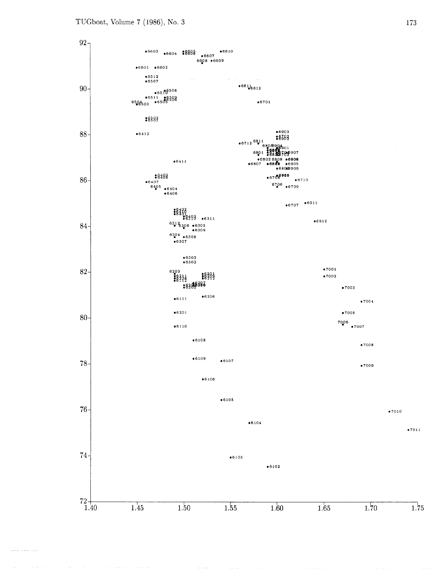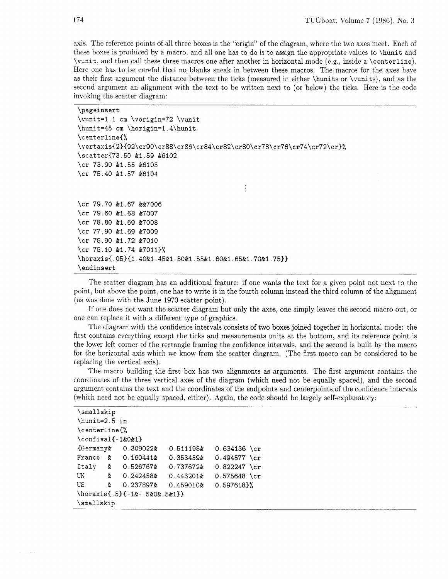axis. The reference points of all three boxes is the "origin" of the diagram, where the two axes meet. Each of these boxes is produced by a macro. and all one has to do is to assign the appropriate values to \hunit and \vunit, and then call these three macros one after another in horizontal mode (e.g., inside a \centerline). Here one has to be careful that no blanks sneak in between these macros. The macros for the axes have as their first argument the distance between the ticks (measured in either \hunits or \vunits), and as the second argument an alignment with the text to be written next to (or below) the ticks. Here is the code invoking the scatter diagram:

```
\pageinsert
\vunit=1.1 cm \vorigin=72 \vunit
\hunit=45 cm \horigin=1.4\hunit
\centerline{%
\vertaxis{2}{92\cr90\cr88\cr86\cr84\cr82\cr80\cr78\cr76\cr74\cr72\cr}%
\scatter{73.50 &1.59 &6102
\cr 73.90 &1.55 &6103
\cr 75.40 &1.57 &6104
                                             \ddot{\cdot}\cr 79.70 &1.67 &&7006
\cr 79.60 &1.68 &7007
\cr 78.80 &1.69 &7008
\cr 77.90 &1.69 &7009
\cr 75.90 &1.72 &7010
\cr 75.10 &1.74 &7011}%
\horaxis{.05}{1.40&1.45&1.50&1.55&1.60&1.65&1.70&1.75}}
\endinsert
```
The scatter diagram has an additional feature: if one wants the text for a given point not next to the point, but above the point, one has to write it in the fourth column instead the third column of the alignment (as was done with the June 1970 scatter point).

If one does not want the scatter diagram but only the axes, one simply leaves the second macro out, or one can replace it with a different type of graphics.

The diagram with the confidence intervals consists of two boxes joined together in horizontal mode: the first contains everything except the ticks and measurements units at the bottom, and its reference point is the lower left corner of the rectangle framing the confidence intervals, and the second is built by the macro for the horizontal axis which we know from the scatter diagram. (The first macro can be considered to be replacing the vertical axis).

The macro building the first box has two alignments as arguments. The first argument contains the coordinates of the three vertical axes of the diagram (which need not be equally spaced), and the second argument contains the text and the coordinates of the endpoints and centerpoints of the confidence intervals (which need not be equally spaced, either). Again, the code should be largely self-explanatory:

```
\smallskip 
\hunit=2.5 in 
\centerline(% 
\binom{\cdots}{-1\&0\&1}(Germany& 0.309022& 0.511198& 0.634136 \cr 
France & 0.160441& 0.353459& 0.494577 \cr 
Italy & 0.526767& 0.7376728~ 0.822247 \cr 
UK & 0.242458& 0.443201& 0.575648 \cr
US & 0.237897& 0.459010& 0.597618}%
\horaxisC.5)(-i&-.5&0&.5&1}} 
\smallskip
```